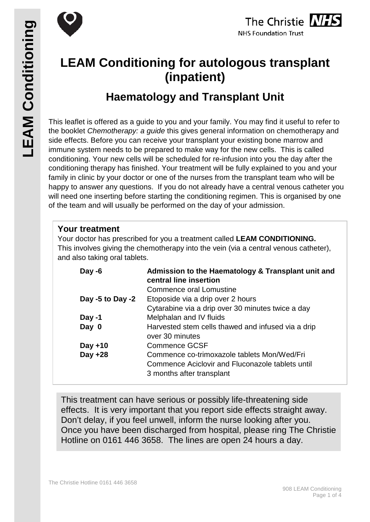



# **LEAM Conditioning for autologous transplant (inpatient)**

## **Haematology and Transplant Unit**

This leaflet is offered as a guide to you and your family. You may find it useful to refer to the booklet *Chemotherapy: a guide* this gives general information on chemotherapy and side effects. Before you can receive your transplant your existing bone marrow and immune system needs to be prepared to make way for the new cells. This is called conditioning. Your new cells will be scheduled for re-infusion into you the day after the conditioning therapy has finished. Your treatment will be fully explained to you and your family in clinic by your doctor or one of the nurses from the transplant team who will be happy to answer any questions. If you do not already have a central venous catheter you will need one inserting before starting the conditioning regimen. This is organised by one of the team and will usually be performed on the day of your admission.

#### **Your treatment**

Your doctor has prescribed for you a treatment called **LEAM CONDITIONING.** This involves giving the chemotherapy into the vein (via a central venous catheter), and also taking oral tablets.

| Day -6           | Admission to the Haematology & Transplant unit and<br>central line insertion                                                 |  |
|------------------|------------------------------------------------------------------------------------------------------------------------------|--|
|                  | Commence oral Lomustine                                                                                                      |  |
| Day -5 to Day -2 | Etoposide via a drip over 2 hours                                                                                            |  |
|                  | Cytarabine via a drip over 30 minutes twice a day                                                                            |  |
| Day -1           | Melphalan and IV fluids                                                                                                      |  |
| Day 0            | Harvested stem cells thawed and infused via a drip<br>over 30 minutes                                                        |  |
| Day $+10$        | <b>Commence GCSF</b>                                                                                                         |  |
| Day +28          | Commence co-trimoxazole tablets Mon/Wed/Fri<br>Commence Aciclovir and Fluconazole tablets until<br>3 months after transplant |  |

This treatment can have serious or possibly life-threatening side effects. It is very important that you report side effects straight away. Don't delay, if you feel unwell, inform the nurse looking after you. Once you have been discharged from hospital, please ring The Christie Hotline on 0161 446 3658. The lines are open 24 hours a day.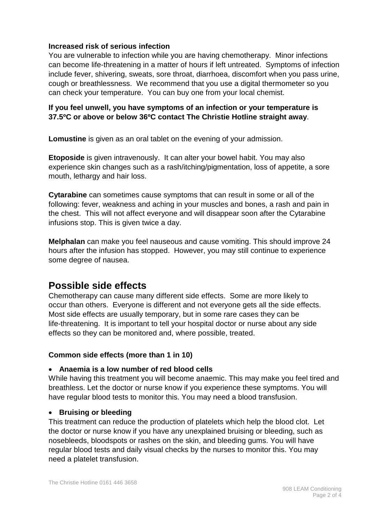#### **Increased risk of serious infection**

You are vulnerable to infection while you are having chemotherapy. Minor infections can become life-threatening in a matter of hours if left untreated. Symptoms of infection include fever, shivering, sweats, sore throat, diarrhoea, discomfort when you pass urine, cough or breathlessness. We recommend that you use a digital thermometer so you can check your temperature. You can buy one from your local chemist.

#### **If you feel unwell, you have symptoms of an infection or your temperature is 37.5ºC or above or below 36ºC contact The Christie Hotline straight away**.

**Lomustine** is given as an oral tablet on the evening of your admission.

**Etoposide** is given intravenously. It can alter your bowel habit. You may also experience skin changes such as a rash/itching/pigmentation, loss of appetite, a sore mouth, lethargy and hair loss.

**Cytarabine** can sometimes cause symptoms that can result in some or all of the following: fever, weakness and aching in your muscles and bones, a rash and pain in the chest. This will not affect everyone and will disappear soon after the Cytarabine infusions stop. This is given twice a day.

**Melphalan** can make you feel nauseous and cause vomiting. This should improve 24 hours after the infusion has stopped. However, you may still continue to experience some degree of nausea.

## **Possible side effects**

Chemotherapy can cause many different side effects. Some are more likely to occur than others. Everyone is different and not everyone gets all the side effects. Most side effects are usually temporary, but in some rare cases they can be life-threatening. It is important to tell your hospital doctor or nurse about any side effects so they can be monitored and, where possible, treated.

#### **Common side effects (more than 1 in 10)**

#### • **Anaemia is a low number of red blood cells**

While having this treatment you will become anaemic. This may make you feel tired and breathless. Let the doctor or nurse know if you experience these symptoms. You will have regular blood tests to monitor this. You may need a blood transfusion.

#### • **Bruising or bleeding**

This treatment can reduce the production of platelets which help the blood clot. Let the doctor or nurse know if you have any unexplained bruising or bleeding, such as nosebleeds, bloodspots or rashes on the skin, and bleeding gums. You will have regular blood tests and daily visual checks by the nurses to monitor this. You may need a platelet transfusion.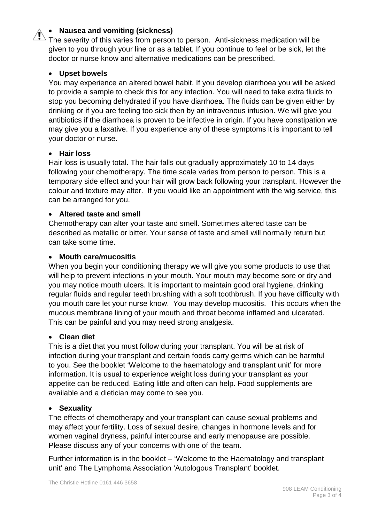#### • **Nausea and vomiting (sickness)**

The severity of this varies from person to person. Anti-sickness medication will be given to you through your line or as a tablet. If you continue to feel or be sick, let the doctor or nurse know and alternative medications can be prescribed.

#### • **Upset bowels**

You may experience an altered bowel habit. If you develop diarrhoea you will be asked to provide a sample to check this for any infection. You will need to take extra fluids to stop you becoming dehydrated if you have diarrhoea. The fluids can be given either by drinking or if you are feeling too sick then by an intravenous infusion. We will give you antibiotics if the diarrhoea is proven to be infective in origin. If you have constipation we may give you a laxative. If you experience any of these symptoms it is important to tell your doctor or nurse.

#### • **Hair loss**

Hair loss is usually total. The hair falls out gradually approximately 10 to 14 days following your chemotherapy. The time scale varies from person to person. This is a temporary side effect and your hair will grow back following your transplant. However the colour and texture may alter. If you would like an appointment with the wig service, this can be arranged for you.

#### • **Altered taste and smell**

Chemotherapy can alter your taste and smell. Sometimes altered taste can be described as metallic or bitter. Your sense of taste and smell will normally return but can take some time.

#### • **Mouth care/mucositis**

When you begin your conditioning therapy we will give you some products to use that will help to prevent infections in your mouth. Your mouth may become sore or dry and you may notice mouth ulcers. It is important to maintain good oral hygiene, drinking regular fluids and regular teeth brushing with a soft toothbrush. If you have difficulty with you mouth care let your nurse know. You may develop mucositis. This occurs when the mucous membrane lining of your mouth and throat become inflamed and ulcerated. This can be painful and you may need strong analgesia.

#### • **Clean diet**

This is a diet that you must follow during your transplant. You will be at risk of infection during your transplant and certain foods carry germs which can be harmful to you. See the booklet 'Welcome to the haematology and transplant unit' for more information. It is usual to experience weight loss during your transplant as your appetite can be reduced. Eating little and often can help. Food supplements are available and a dietician may come to see you.

#### • **Sexuality**

The effects of chemotherapy and your transplant can cause sexual problems and may affect your fertility. Loss of sexual desire, changes in hormone levels and for women vaginal dryness, painful intercourse and early menopause are possible. Please discuss any of your concerns with one of the team.

Further information is in the booklet – 'Welcome to the Haematology and transplant unit' and The Lymphoma Association 'Autologous Transplant' booklet.